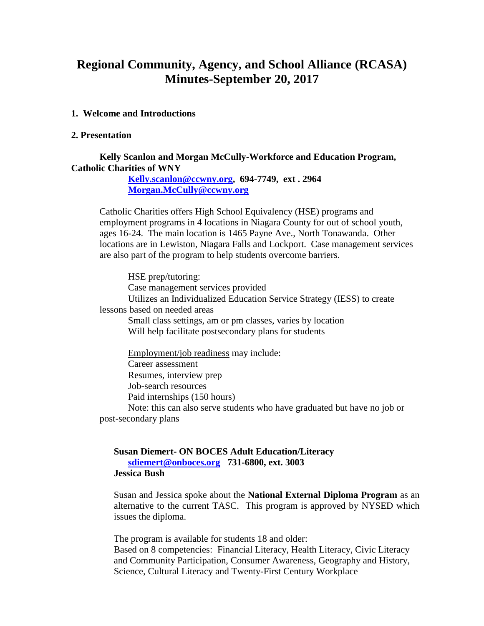# **Regional Community, Agency, and School Alliance (RCASA) Minutes-September 20, 2017**

#### **1. Welcome and Introductions**

#### **2. Presentation**

#### **Kelly Scanlon and Morgan McCully**-**Workforce and Education Program, Catholic Charities of WNY**

**[Kelly.scanlon@ccwny.org,](mailto:Kelly.scanlon@ccwny.org) 694-7749, ext . 2964 [Morgan.McCully@ccwny.org](mailto:Morgan.McCully@ccwny.org)** 

Catholic Charities offers High School Equivalency (HSE) programs and employment programs in 4 locations in Niagara County for out of school youth, ages 16-24. The main location is 1465 Payne Ave., North Tonawanda. Other locations are in Lewiston, Niagara Falls and Lockport. Case management services are also part of the program to help students overcome barriers.

HSE prep/tutoring: Case management services provided Utilizes an Individualized Education Service Strategy (IESS) to create lessons based on needed areas Small class settings, am or pm classes, varies by location Will help facilitate postsecondary plans for students

Employment/job readiness may include: Career assessment Resumes, interview prep Job-search resources Paid internships (150 hours)

Note: this can also serve students who have graduated but have no job or post-secondary plans

#### **Susan Diemert- ON BOCES Adult Education/Literacy [sdiemert@onboces.org](mailto:sdiemert@onboces.org) 731-6800, ext. 3003 Jessica Bush**

Susan and Jessica spoke about the **National External Diploma Program** as an alternative to the current TASC. This program is approved by NYSED which issues the diploma.

The program is available for students 18 and older: Based on 8 competencies: Financial Literacy, Health Literacy, Civic Literacy and Community Participation, Consumer Awareness, Geography and History, Science, Cultural Literacy and Twenty-First Century Workplace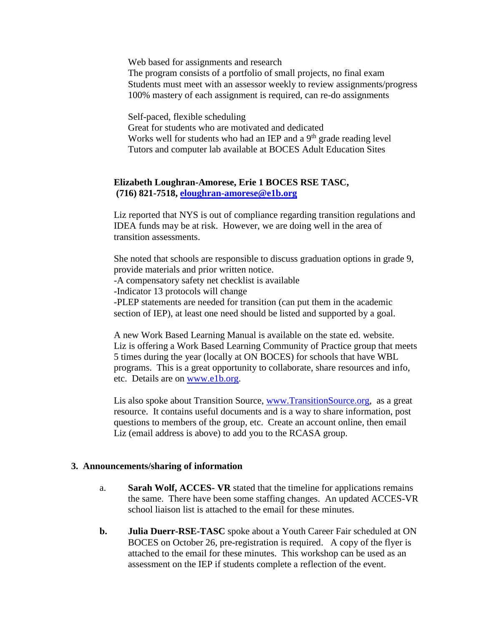Web based for assignments and research

The program consists of a portfolio of small projects, no final exam Students must meet with an assessor weekly to review assignments/progress 100% mastery of each assignment is required, can re-do assignments

Self-paced, flexible scheduling

Great for students who are motivated and dedicated Works well for students who had an IEP and a 9<sup>th</sup> grade reading level Tutors and computer lab available at BOCES Adult Education Sites

## **Elizabeth Loughran-Amorese, Erie 1 BOCES RSE TASC, (716) 821-7518, [eloughran-amorese@e1b.org](mailto:eloughran-amorese@e1b.org)**

Liz reported that NYS is out of compliance regarding transition regulations and IDEA funds may be at risk. However, we are doing well in the area of transition assessments.

She noted that schools are responsible to discuss graduation options in grade 9, provide materials and prior written notice.

-A compensatory safety net checklist is available

-Indicator 13 protocols will change

-PLEP statements are needed for transition (can put them in the academic section of IEP), at least one need should be listed and supported by a goal.

A new Work Based Learning Manual is available on the state ed. website. Liz is offering a Work Based Learning Community of Practice group that meets 5 times during the year (locally at ON BOCES) for schools that have WBL programs. This is a great opportunity to collaborate, share resources and info, etc. Details are on [www.e1b.org.](http://www.e1b.org/)

Lis also spoke about Transition Source, [www.TransitionSource.org,](http://www.transitionsource.org/) as a great resource. It contains useful documents and is a way to share information, post questions to members of the group, etc. Create an account online, then email Liz (email address is above) to add you to the RCASA group.

### **3. Announcements/sharing of information**

- a. **Sarah Wolf, ACCES- VR** stated that the timeline for applications remains the same. There have been some staffing changes. An updated ACCES-VR school liaison list is attached to the email for these minutes.
- **b. Julia Duerr-RSE-TASC** spoke about a Youth Career Fair scheduled at ON BOCES on October 26, pre-registration is required. A copy of the flyer is attached to the email for these minutes. This workshop can be used as an assessment on the IEP if students complete a reflection of the event.